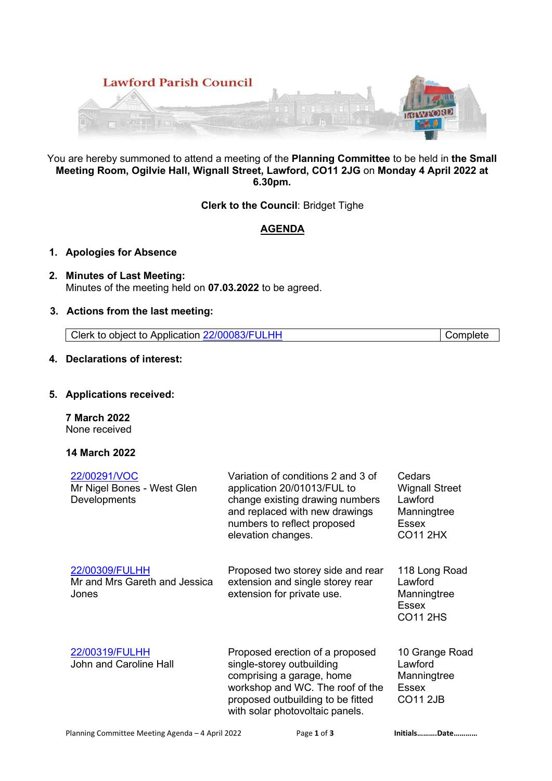

You are hereby summoned to attend a meeting of the **Planning Committee** to be held in **the Small Meeting Room, Ogilvie Hall, Wignall Street, Lawford, CO11 2JG** on **Monday 4 April 2022 at 6.30pm.**

**Clerk to the Council**: Bridget Tighe

# **AGENDA**

# **1. Apologies for Absence**

**2. Minutes of Last Meeting:**  Minutes of the meeting held on **07.03.2022** to be agreed.

# **3. Actions from the last meeting:**

Clerk to object to Application 22/00083/FULHH Complete

## **4. Declarations of interest:**

## **5. Applications received:**

**7 March 2022** None received

# **14 March 2022**

| 22/00291/VOC<br>Mr Nigel Bones - West Glen<br>Developments | Variation of conditions 2 and 3 of<br>application 20/01013/FUL to<br>change existing drawing numbers<br>and replaced with new drawings<br>numbers to reflect proposed<br>elevation changes.           | Cedars<br><b>Wignall Street</b><br>Lawford<br>Manningtree<br>Essex<br><b>CO11 2HX</b> |
|------------------------------------------------------------|-------------------------------------------------------------------------------------------------------------------------------------------------------------------------------------------------------|---------------------------------------------------------------------------------------|
| 22/00309/FULHH<br>Mr and Mrs Gareth and Jessica<br>Jones   | Proposed two storey side and rear<br>extension and single storey rear<br>extension for private use.                                                                                                   | 118 Long Road<br>Lawford<br>Manningtree<br>Essex<br><b>CO11 2HS</b>                   |
| 22/00319/FULHH<br>John and Caroline Hall                   | Proposed erection of a proposed<br>single-storey outbuilding<br>comprising a garage, home<br>workshop and WC. The roof of the<br>proposed outbuilding to be fitted<br>with solar photovoltaic panels. | 10 Grange Road<br>Lawford<br>Manningtree<br><b>Essex</b><br><b>CO11 2JB</b>           |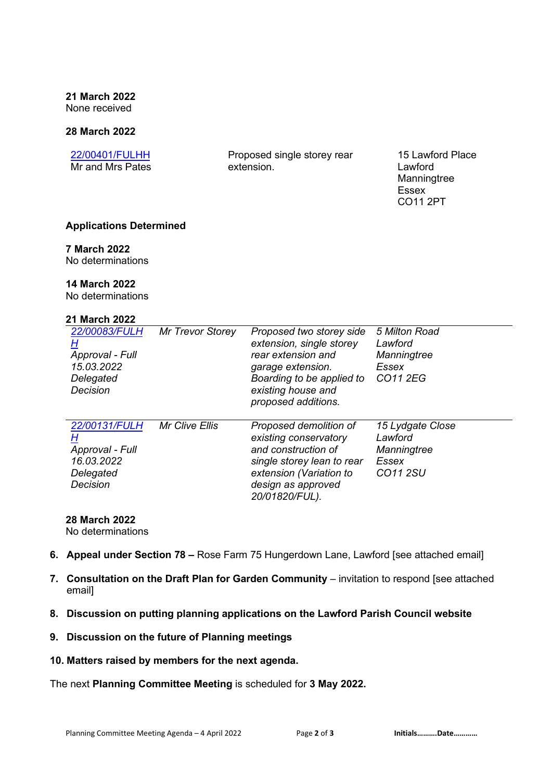**21 March 2022**  None received

#### **28 March 2022**

| 22/00401/FULHH   |  |  |  |  |
|------------------|--|--|--|--|
| Mr and Mrs Pates |  |  |  |  |

Proposed single storey rear extension.

15 Lawford Place Lawford Manningtree Essex CO11 2PT

## **Applications Determined**

#### **7 March 2022**

No determinations

### **14 March 2022**

No determinations

## **21 March 2022**

| 22/00083/FULH<br>н<br>Approval - Full<br>15.03.2022<br>Delegated<br>Decision | Mr Trevor Storey      | Proposed two storey side<br>extension, single storey<br>rear extension and<br>garage extension.<br>Boarding to be applied to<br>existing house and<br>proposed additions. | 5 Milton Road<br>Lawford<br>Manningtree<br>Essex<br>CO11 2EG    |
|------------------------------------------------------------------------------|-----------------------|---------------------------------------------------------------------------------------------------------------------------------------------------------------------------|-----------------------------------------------------------------|
| 22/00131/FULH<br>Н<br>Approval - Full<br>16.03.2022<br>Delegated<br>Decision | <b>Mr Clive Ellis</b> | Proposed demolition of<br>existing conservatory<br>and construction of<br>single storey lean to rear<br>extension (Variation to<br>design as approved<br>20/01820/FUL).   | 15 Lydgate Close<br>Lawford<br>Manningtree<br>Essex<br>CO11 2SU |

# **28 March 2022**

No determinations

- **6. Appeal under Section 78** Rose Farm 75 Hungerdown Lane, Lawford [see attached email]
- **7. Consultation on the Draft Plan for Garden Community** invitation to respond [see attached email]
- **8. Discussion on putting planning applications on the Lawford Parish Council website**
- **9. Discussion on the future of Planning meetings**
- **10. Matters raised by members for the next agenda.**

The next **Planning Committee Meeting** is scheduled for **3 May 2022.**